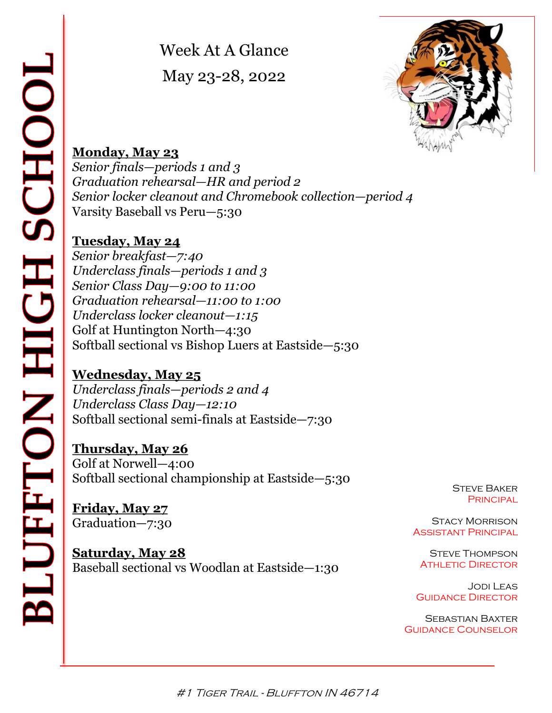Week At A Glance May 23-28, 2022



# **Monday, May 23**

*Senior finals—periods 1 and 3 Graduation rehearsal—HR and period 2 Senior locker cleanout and Chromebook collection—period 4* Varsity Baseball vs Peru—5:30

# **Tuesday, May 24**

*Senior breakfast—7:40 Underclass finals—periods 1 and 3 Senior Class Day—9:00 to 11:00 Graduation rehearsal—11:00 to 1:00 Underclass locker cleanout—1:15* Golf at Huntington North—4:30 Softball sectional vs Bishop Luers at Eastside—5:30

# **Wednesday, May 25**

*Underclass finals—periods 2 and 4 Underclass Class Day—12:10* Softball sectional semi-finals at Eastside—7:30

# **Thursday, May 26**

Golf at Norwell—4:00 Softball sectional championship at Eastside—5:30

**Friday, May 27** Graduation—7:30

**Saturday, May 28** Baseball sectional vs Woodlan at Eastside—1:30 **STEVE BAKER PRINCIPAL** 

Stacy Morrison Assistant Principal

**STEVE THOMPSON ATHLETIC DIRECTOR** 

Jodi Leas **GUIDANCE DIRECTOR** 

Sebastian Baxter Guidance Counselor

#1 TIGER TRAIL - BLUFFTON IN 46714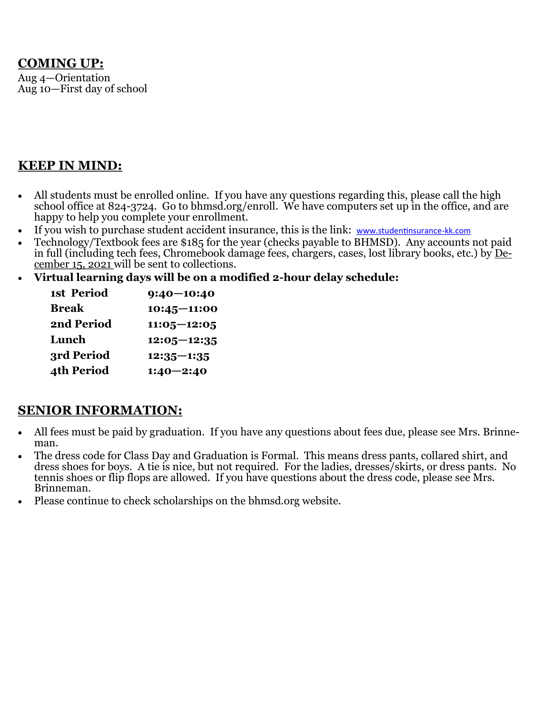### **COMING UP:**

Aug 4—Orientation Aug 10—First day of school

### **KEEP IN MIND:**

- All students must be enrolled online. If you have any questions regarding this, please call the high school office at 824-3724. Go to bhmsd.org/enroll. We have computers set up in the office, and are happy to help you complete your enrollment.
- If you wish to purchase student accident insurance, this is the link: [www.studentinsurance](http://www.studentinsurance-kk.com/)-kk.com
- Technology/Textbook fees are \$185 for the year (checks payable to BHMSD). Any accounts not paid in full (including tech fees, Chromebook damage fees, chargers, cases, lost library books, etc.) by December 15, 2021 will be sent to collections.
- **Virtual learning days will be on a modified 2-hour delay schedule:**

| <b>1st Period</b> | $9:40 - 10:40$  |
|-------------------|-----------------|
| Break             | $10:45 - 11:00$ |
| <b>2nd Period</b> | $11:05 - 12:05$ |
| Lunch             | $12:05 - 12:35$ |
| 3rd Period        | $12:35 - 1:35$  |
| <b>4th Period</b> | $1:40 - 2:40$   |
|                   |                 |

### **SENIOR INFORMATION:**

- All fees must be paid by graduation. If you have any questions about fees due, please see Mrs. Brinneman.
- The dress code for Class Day and Graduation is Formal. This means dress pants, collared shirt, and dress shoes for boys. A tie is nice, but not required. For the ladies, dresses/skirts, or dress pants. No tennis shoes or flip flops are allowed. If you have questions about the dress code, please see Mrs. Brinneman.
- Please continue to check scholarships on the bhmsd.org website.